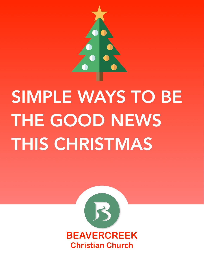

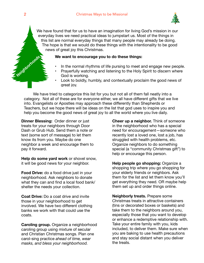

We have found that for us to have an imagination for living God's mission in our everyday lives we need practical ideas to jumpstart us. Most of the things in this list are normal everyday things that many people may already be doing. The hope is that we would do these things with the intentionality to be good news of great joy this Christmas.

#### **We want to encourage you to do these things:**

- In the normal rhythms of life pursing to meet and engage new people.
- Prayerfully watching and listening to the Holy Spirit to discern where God is working.
- Look to boldly, humbly, and contextually proclaim the good news of great joy.

We have tried to categorize this list for you but not all of them fall neatly into a category. Not all of these are for everyone either, we all have different gifts that we live into. Evangelists or Apostles may approach these differently than Shepherds or Teachers, but we hope there will be ideas on the list that god uses to inspire you and help you become the good news of great joy to all the world where you live daily.

**Dinner Blessing:** Order dinner or just treats for your neighbors through Door Dash or Grub Hub. Send them a note or text (some sort of message) to let them know its from you. Maybe do one neighbor a week and encourage them to pay it forward.

**Help do some yard work** or shovel snow, it will be good news for your neighbor.

**Food Drive:** do a food drive just in your neighborhood. Ask neighbors to donate what they can and find a local food bank/ shelter the needs your collection.

**Coat Drive:** Do a coat drive and invite those in your neighborhood to get involved. We have two different clothing banks we work with that could use the coats.

**Caroling group.** Organize a neighborhood caroling group using mixture of secular and Christian Christmas songs. Plan one carol-sing practice *ahead of time, wear masks, and bless your neighborhood.*

**Cheer up a neighbor.** Think of someone in the neighborhood who has a special need for encouragement—someone who recently lost a loved one, lost a job, has struggled with health problems, etc. Organize neighbors to do something special (a "community Christmas gift") to help or encourage this person.

**Help people go shopping:** Organize a shopping trip where you go shopping for your elderly friends or neighbors. Ask them for the list and let them know you'll get everything they need. OR maybe help them set up and order things online.

**Neighborly treats.** Prepare some Christmas treats in attractive containers (tins or decorated boxes or baskets) and take them to the neighbors around you, especially those that you want to develop or enhance a redemptive relationship with. Take your entire family with you, kids included, to deliver them. Make sure when you are baking to use health precautions and stay social distant when you deliver the treats.

**Neighborhoods**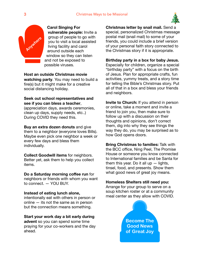

**Carol Singing For vulnerable people:** Invite a group of people to go with you to visit a local assisted living facility and carol around outside each window so they can listen and not be exposed to possible viruses.

**Host an outside Christmas movie watching party**. You may need to build a fire(s) but it might make for a creative social distancing holiday.

### **Seek out school representatives and see if you can bless a teacher**,

(appreciation days, awards ceremonies, clean up days, supply needs, etc..) During COVID they need this.

**Buy an extra dozen donuts** and give them to a neighbor (everyone loves Bills). Maybe even pick one neighbor a week or every few days and bless them individually.

**Collect Goodwill items** for neighbors. Better yet, ask them to help you collect items.

**Do a Saturday morning coffee run** for neighbors or friends with whom you want to connect. — YOU BUY.

#### **Instead of eating lunch alone,**

intentionally eat with others in person or online — its not the same as in person but the connection means something.

**Start your work day a bit early during advent** so you can spend some time praying for your co-workers and the day ahead.

**Christmas letter by snail mail.** Send a

special, personalized Christmas message postal mail (snail mail) to some of your friends, you could include a brief version of your personal faith story connected to the Christmas story if it is appropriate.

**Birthday party in a box for baby Jesus.**  Especially for children, organize a special "birthday party" with a focus on the birth of Jesus. Plan for appropriate crafts, fun activities, yummy treats, and a story time for telling the Bible's Christmas story. Put all of that in a box and bless your friends and neighbors.

**Invite to Church:** If you attend in person or online, take a moment and invite a friend to join you, then make sure to follow up with a discussion on their thoughts and opinions, don't correct them, dig into why they see things the way they do, you may be surprised as to how God opens doors.

**Bring Christmas to families:** Talk with the BCC office, Ning Peel, The Promise House or someone you know connected to International families and be Santa for them this year. Do it all  $up$  – lights, tinsel, food, and presents. Show them what good news of great joy means.

## **Homeless Shelters still need you:**

Arrange for your group to serve on a soup kitchen roster or at a community meal center as they allow with COVID.



**Anywhere**